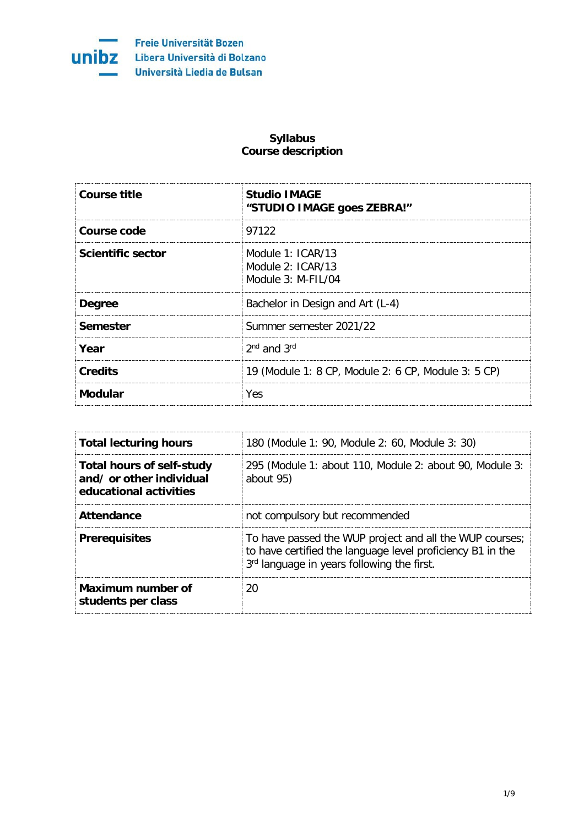

Freie Universität Bozen Libera Università di Bolzano Università Liedia de Bulsan

## **Syllabus Course description**

| <b>Course title</b> | <b>Studio IMAGE</b><br>"STUDIO IMAGE goes ZEBRA!"                |
|---------------------|------------------------------------------------------------------|
| Course code         | 97122                                                            |
| Scientific sector   | Module $1:ICAR/13$<br>Module $2:ICAR/13$<br>Module $3: M-FII/04$ |
| <b>Degree</b>       | Bachelor in Design and Art (L-4)                                 |
| Semester            | Summer semester 2021/22                                          |
| Year                | $2nd$ and $3rd$                                                  |
| <b>Credits</b>      | 19 (Module 1: 8 CP, Module 2: 6 CP, Module 3: 5 CP)              |
| <b>Modular</b>      | Yes                                                              |

| <b>Total lecturing hours</b>                                                           | 180 (Module 1: 90, Module 2: 60, Module 3: 30)                                                                                                                      |
|----------------------------------------------------------------------------------------|---------------------------------------------------------------------------------------------------------------------------------------------------------------------|
| <b>Total hours of self-study</b><br>and/ or other individual<br>educational activities | 295 (Module 1: about 110, Module 2: about 90, Module 3:<br>about 95)                                                                                                |
| <b>Attendance</b>                                                                      | not compulsory but recommended                                                                                                                                      |
| <b>Prerequisites</b>                                                                   | To have passed the WUP project and all the WUP courses;<br>to have certified the language level proficiency B1 in the<br>3rd language in years following the first. |
| Maximum number of<br>students per class                                                |                                                                                                                                                                     |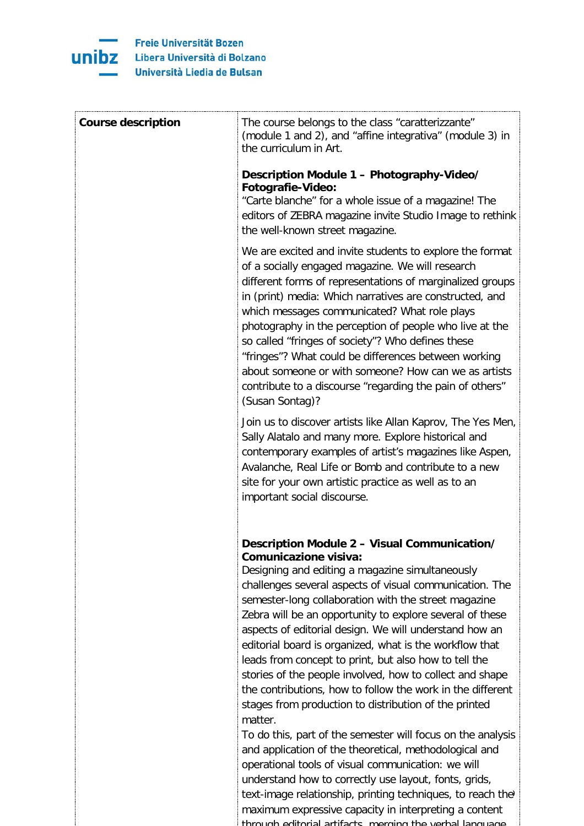

| <b>Course description</b> | The course belongs to the class "caratterizzante"<br>(module 1 and 2), and "affine integrativa" (module 3) in<br>the curriculum in Art.                                                                                                                                                                                                                                                                                                                                                                                                                                                                                                                                                                                                                                                                                                                                                                                                                                                                                                             |
|---------------------------|-----------------------------------------------------------------------------------------------------------------------------------------------------------------------------------------------------------------------------------------------------------------------------------------------------------------------------------------------------------------------------------------------------------------------------------------------------------------------------------------------------------------------------------------------------------------------------------------------------------------------------------------------------------------------------------------------------------------------------------------------------------------------------------------------------------------------------------------------------------------------------------------------------------------------------------------------------------------------------------------------------------------------------------------------------|
|                           | Description Module 1 - Photography-Video/<br><b>Fotografie-Video:</b><br>"Carte blanche" for a whole issue of a magazine! The<br>editors of ZEBRA magazine invite Studio Image to rethink<br>the well-known street magazine.                                                                                                                                                                                                                                                                                                                                                                                                                                                                                                                                                                                                                                                                                                                                                                                                                        |
|                           | We are excited and invite students to explore the format<br>of a socially engaged magazine. We will research<br>different forms of representations of marginalized groups<br>in (print) media: Which narratives are constructed, and<br>which messages communicated? What role plays<br>photography in the perception of people who live at the<br>so called "fringes of society"? Who defines these<br>"fringes"? What could be differences between working<br>about someone or with someone? How can we as artists<br>contribute to a discourse "regarding the pain of others"<br>(Susan Sontag)?                                                                                                                                                                                                                                                                                                                                                                                                                                                 |
|                           | Join us to discover artists like Allan Kaprov, The Yes Men,<br>Sally Alatalo and many more. Explore historical and<br>contemporary examples of artist's magazines like Aspen,<br>Avalanche, Real Life or Bomb and contribute to a new<br>site for your own artistic practice as well as to an<br>important social discourse.                                                                                                                                                                                                                                                                                                                                                                                                                                                                                                                                                                                                                                                                                                                        |
|                           | Description Module 2 - Visual Communication/<br>Comunicazione visiva:<br>Designing and editing a magazine simultaneously<br>challenges several aspects of visual communication. The<br>semester-long collaboration with the street magazine<br>Zebra will be an opportunity to explore several of these<br>aspects of editorial design. We will understand how an<br>editorial board is organized, what is the workflow that<br>leads from concept to print, but also how to tell the<br>stories of the people involved, how to collect and shape<br>the contributions, how to follow the work in the different<br>stages from production to distribution of the printed<br>matter.<br>To do this, part of the semester will focus on the analysis<br>and application of the theoretical, methodological and<br>operational tools of visual communication: we will<br>understand how to correctly use layout, fonts, grids,<br>text-image relationship, printing techniques, to reach the'<br>maximum expressive capacity in interpreting a content |

through editorial artifacts merging the verbal language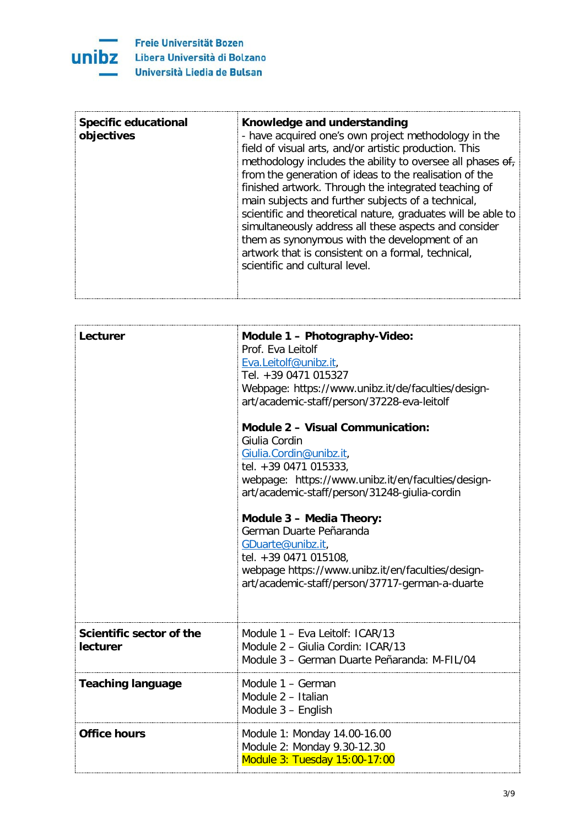

| Lecturer                                    | Module 1 - Photography-Video:<br>Prof. Eva Leitolf<br>Eva.Leitolf@unibz.it,<br>Tel. +39 0471 015327<br>Webpage: https://www.unibz.it/de/faculties/design-<br>art/academic-staff/person/37228-eva-leitolf<br><b>Module 2 - Visual Communication:</b><br>Giulia Cordin<br>Giulia.Cordin@unibz.it,<br>tel. +39 0471 015333,<br>webpage: https://www.unibz.it/en/faculties/design-<br>art/academic-staff/person/31248-giulia-cordin<br>Module 3 - Media Theory:<br>German Duarte Peñaranda<br>GDuarte@unibz.it,<br>tel. +39 0471 015108,<br>webpage https://www.unibz.it/en/faculties/design-<br>art/academic-staff/person/37717-german-a-duarte |
|---------------------------------------------|----------------------------------------------------------------------------------------------------------------------------------------------------------------------------------------------------------------------------------------------------------------------------------------------------------------------------------------------------------------------------------------------------------------------------------------------------------------------------------------------------------------------------------------------------------------------------------------------------------------------------------------------|
| Scientific sector of the<br><b>lecturer</b> | Module 1 - Eva Leitolf: ICAR/13<br>Module 2 - Giulia Cordin: ICAR/13<br>Module 3 - German Duarte Peñaranda: M-FIL/04                                                                                                                                                                                                                                                                                                                                                                                                                                                                                                                         |
| <b>Teaching language</b>                    | Module 1 - German<br>Module 2 - Italian<br>Module 3 - English                                                                                                                                                                                                                                                                                                                                                                                                                                                                                                                                                                                |
| <b>Office hours</b>                         | Module 1: Monday 14.00-16.00<br>Module 2: Monday 9.30-12.30<br>Module 3: Tuesday 15:00-17:00                                                                                                                                                                                                                                                                                                                                                                                                                                                                                                                                                 |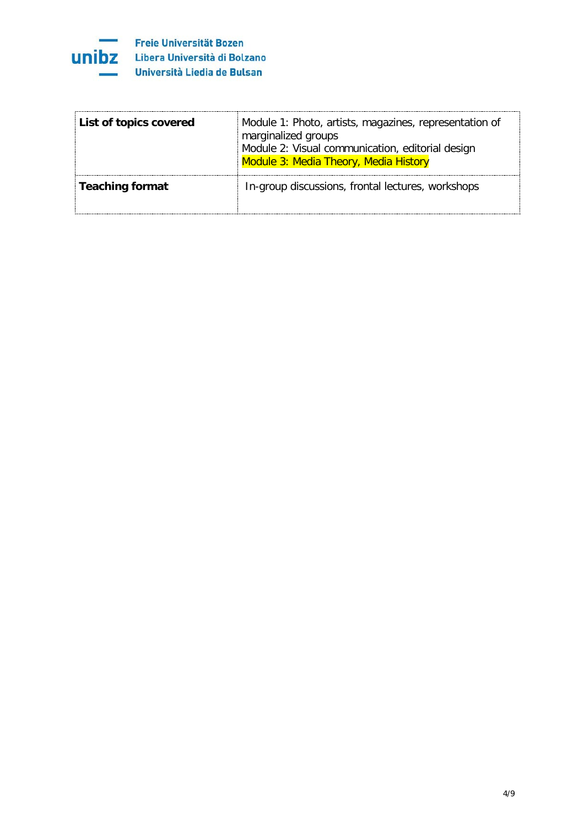

| List of topics covered | Module 1: Photo, artists, magazines, representation of<br>marginalized groups<br>Module 2: Visual communication, editorial design<br>Module 3: Media Theory, Media History |
|------------------------|----------------------------------------------------------------------------------------------------------------------------------------------------------------------------|
| <b>Teaching format</b> | In-group discussions, frontal lectures, workshops                                                                                                                          |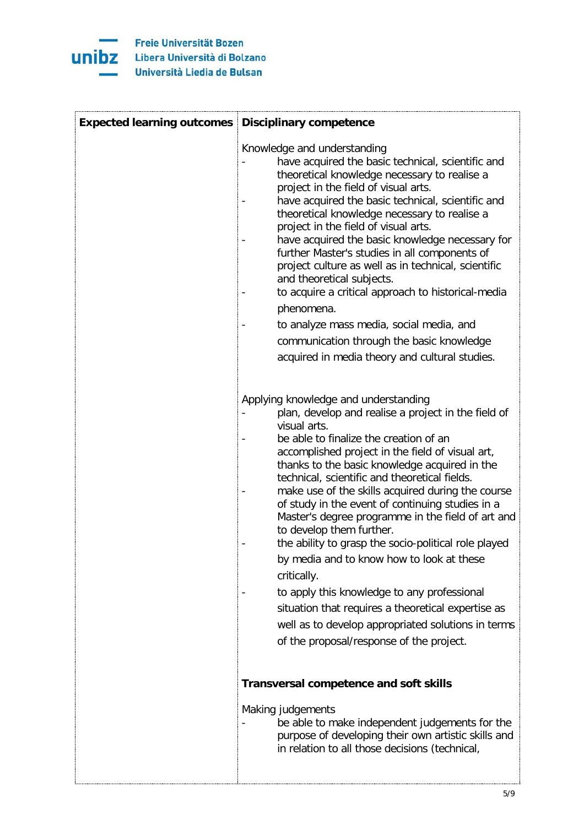

| <b>Expected learning outcomes Disciplinary competence</b> |                                                                                                                                                                                                                                                                                                                                                                                                                                                                                                                                                                                                                                                                                                                                                                                                                                  |
|-----------------------------------------------------------|----------------------------------------------------------------------------------------------------------------------------------------------------------------------------------------------------------------------------------------------------------------------------------------------------------------------------------------------------------------------------------------------------------------------------------------------------------------------------------------------------------------------------------------------------------------------------------------------------------------------------------------------------------------------------------------------------------------------------------------------------------------------------------------------------------------------------------|
|                                                           | Knowledge and understanding<br>have acquired the basic technical, scientific and<br>theoretical knowledge necessary to realise a<br>project in the field of visual arts.<br>have acquired the basic technical, scientific and<br>theoretical knowledge necessary to realise a<br>project in the field of visual arts.<br>have acquired the basic knowledge necessary for<br>further Master's studies in all components of<br>project culture as well as in technical, scientific<br>and theoretical subjects.<br>to acquire a critical approach to historical-media<br>phenomena.<br>to analyze mass media, social media, and<br>communication through the basic knowledge<br>acquired in media theory and cultural studies.                                                                                                     |
|                                                           | Applying knowledge and understanding<br>plan, develop and realise a project in the field of<br>visual arts.<br>be able to finalize the creation of an<br>accomplished project in the field of visual art,<br>thanks to the basic knowledge acquired in the<br>technical, scientific and theoretical fields.<br>make use of the skills acquired during the course<br>of study in the event of continuing studies in a<br>Master's degree programme in the field of art and<br>to develop them further.<br>the ability to grasp the socio-political role played<br>by media and to know how to look at these<br>critically.<br>to apply this knowledge to any professional<br>situation that requires a theoretical expertise as<br>well as to develop appropriated solutions in terms<br>of the proposal/response of the project. |
|                                                           | <b>Transversal competence and soft skills</b><br>Making judgements<br>be able to make independent judgements for the<br>purpose of developing their own artistic skills and<br>in relation to all those decisions (technical,                                                                                                                                                                                                                                                                                                                                                                                                                                                                                                                                                                                                    |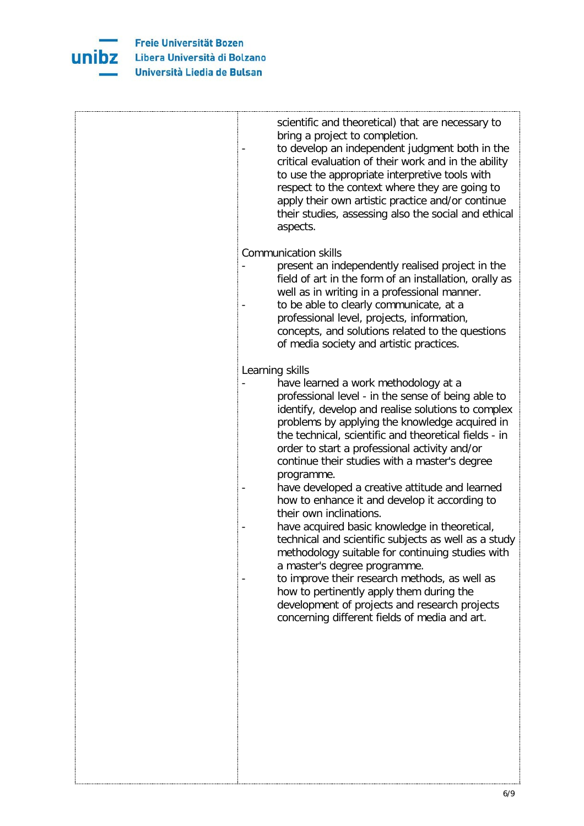

| scientific and theoretical) that are necessary to<br>bring a project to completion.<br>to develop an independent judgment both in the<br>critical evaluation of their work and in the ability<br>to use the appropriate interpretive tools with<br>respect to the context where they are going to<br>apply their own artistic practice and/or continue<br>their studies, assessing also the social and ethical<br>aspects.                                                                                                                                                                                                                                                                                                                                                                                                                                                                                               |
|--------------------------------------------------------------------------------------------------------------------------------------------------------------------------------------------------------------------------------------------------------------------------------------------------------------------------------------------------------------------------------------------------------------------------------------------------------------------------------------------------------------------------------------------------------------------------------------------------------------------------------------------------------------------------------------------------------------------------------------------------------------------------------------------------------------------------------------------------------------------------------------------------------------------------|
| <b>Communication skills</b><br>present an independently realised project in the<br>field of art in the form of an installation, orally as<br>well as in writing in a professional manner.<br>to be able to clearly communicate, at a<br>professional level, projects, information,<br>concepts, and solutions related to the questions<br>of media society and artistic practices.                                                                                                                                                                                                                                                                                                                                                                                                                                                                                                                                       |
| Learning skills<br>have learned a work methodology at a<br>professional level - in the sense of being able to<br>identify, develop and realise solutions to complex<br>problems by applying the knowledge acquired in<br>the technical, scientific and theoretical fields - in<br>order to start a professional activity and/or<br>continue their studies with a master's degree<br>programme.<br>have developed a creative attitude and learned<br>how to enhance it and develop it according to<br>their own inclinations.<br>have acquired basic knowledge in theoretical,<br>technical and scientific subjects as well as a study<br>methodology suitable for continuing studies with<br>a master's degree programme.<br>to improve their research methods, as well as<br>how to pertinently apply them during the<br>development of projects and research projects<br>concerning different fields of media and art. |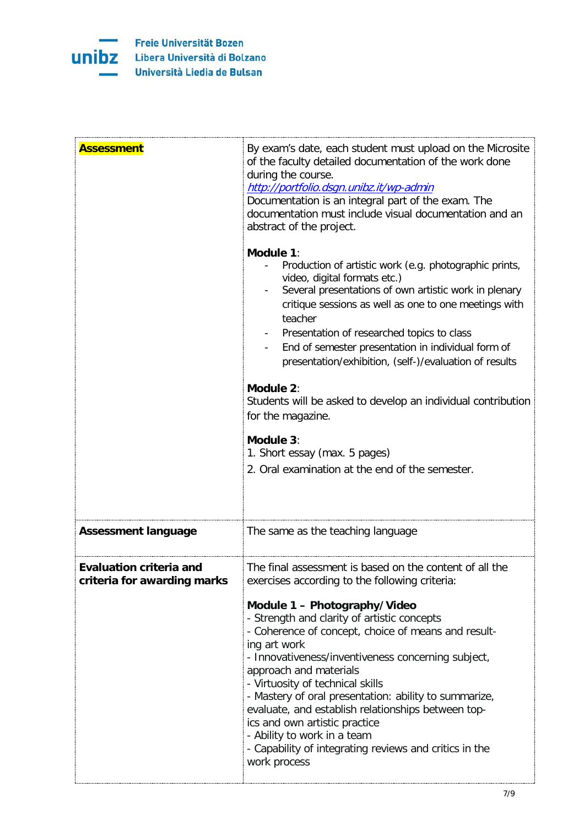

| <b>Assessment</b>                                             | By exam's date, each student must upload on the Microsite<br>of the faculty detailed documentation of the work done<br>during the course.<br>http://portfolio.dsgn.unibz.it/wp-admin<br>Documentation is an integral part of the exam. The<br>documentation must include visual documentation and an<br>abstract of the project.<br>Module 1:<br>Production of artistic work (e.g. photographic prints,<br>video, digital formats etc.)<br>Several presentations of own artistic work in plenary<br>critique sessions as well as one to one meetings with<br>teacher<br>Presentation of researched topics to class<br>End of semester presentation in individual form of<br>presentation/exhibition, (self-)/evaluation of results<br>Module 2:<br>Students will be asked to develop an individual contribution<br>for the magazine.<br>Module 3:<br>1. Short essay (max. 5 pages)<br>2. Oral examination at the end of the semester. |
|---------------------------------------------------------------|---------------------------------------------------------------------------------------------------------------------------------------------------------------------------------------------------------------------------------------------------------------------------------------------------------------------------------------------------------------------------------------------------------------------------------------------------------------------------------------------------------------------------------------------------------------------------------------------------------------------------------------------------------------------------------------------------------------------------------------------------------------------------------------------------------------------------------------------------------------------------------------------------------------------------------------|
| <b>Assessment language</b>                                    | The same as the teaching language                                                                                                                                                                                                                                                                                                                                                                                                                                                                                                                                                                                                                                                                                                                                                                                                                                                                                                     |
| <b>Evaluation criteria and</b><br>criteria for awarding marks | The final assessment is based on the content of all the<br>exercises according to the following criteria:                                                                                                                                                                                                                                                                                                                                                                                                                                                                                                                                                                                                                                                                                                                                                                                                                             |
|                                                               | Module 1 - Photography/Video<br>- Strength and clarity of artistic concepts<br>- Coherence of concept, choice of means and result-<br>ing art work<br>- Innovativeness/inventiveness concerning subject,<br>approach and materials<br>- Virtuosity of technical skills<br>- Mastery of oral presentation: ability to summarize,<br>evaluate, and establish relationships between top-<br>ics and own artistic practice<br>- Ability to work in a team<br>- Capability of integrating reviews and critics in the<br>work process                                                                                                                                                                                                                                                                                                                                                                                                       |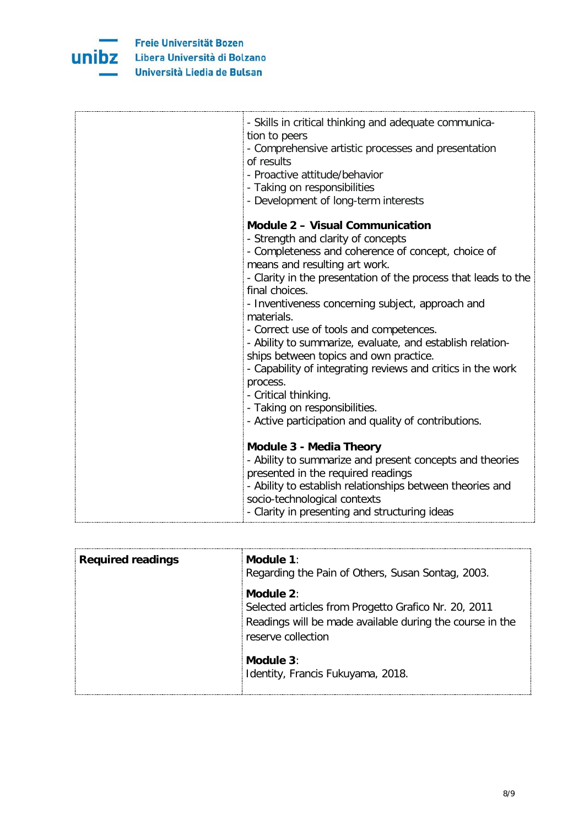

| - Skills in critical thinking and adequate communica-<br>tion to peers                               |
|------------------------------------------------------------------------------------------------------|
| - Comprehensive artistic processes and presentation                                                  |
| of results                                                                                           |
| - Proactive attitude/behavior                                                                        |
| - Taking on responsibilities                                                                         |
| - Development of long-term interests                                                                 |
| <b>Module 2 - Visual Communication</b>                                                               |
| - Strength and clarity of concepts                                                                   |
| - Completeness and coherence of concept, choice of                                                   |
| means and resulting art work.                                                                        |
| - Clarity in the presentation of the process that leads to the                                       |
| final choices.                                                                                       |
| - Inventiveness concerning subject, approach and                                                     |
| materials.                                                                                           |
| - Correct use of tools and competences.<br>- Ability to summarize, evaluate, and establish relation- |
| ships between topics and own practice.                                                               |
| - Capability of integrating reviews and critics in the work                                          |
| process.                                                                                             |
| - Critical thinking.                                                                                 |
| - Taking on responsibilities.                                                                        |
| - Active participation and quality of contributions.                                                 |
|                                                                                                      |
| <b>Module 3 - Media Theory</b>                                                                       |
| - Ability to summarize and present concepts and theories                                             |
| presented in the required readings                                                                   |
| - Ability to establish relationships between theories and                                            |
| socio-technological contexts                                                                         |
| - Clarity in presenting and structuring ideas                                                        |

| <b>Required readings</b> | Module 1:<br>Regarding the Pain of Others, Susan Sontag, 2003.                                                                                         |
|--------------------------|--------------------------------------------------------------------------------------------------------------------------------------------------------|
|                          | Module $2$ :<br>Selected articles from Progetto Grafico Nr. 20, 2011<br>Readings will be made available during the course in the<br>reserve collection |
|                          | Module $3$ :<br>Identity, Francis Fukuyama, 2018.                                                                                                      |